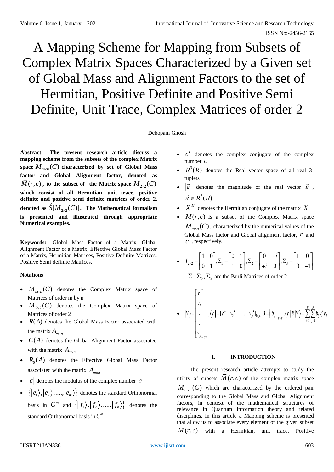# A Mapping Scheme for Mapping from Subsets of Complex Matrix Spaces Characterized by a Given set of Global Mass and Alignment Factors to the set of Hermitian, Positive Definite and Positive Semi Definite, Unit Trace, Complex Matrices of order 2

## Debopam Ghosh

**Abstract:- The present research article discuss a mapping scheme from the subsets of the complex Matrix**  space  $M_{m \times n}(C)$  characterized by set of Global Mass **factor and Global Alignment factor, denoted as**   $\overline{M}(r, c)$ , to the subset of the Matrix space  $M_{2 \times 2}(C)$ **which consist of all Hermitian, unit trace, positive definite and positive semi definite matrices of order 2,**  denoted as  $S[M_{2\times2}]$  $\hat{S}[M_{\gamma_{\times2}}(C)]$ . The Mathematical formalism **is presented and illustrated through appropriate Numerical examples.**

**Keywords:-** Global Mass Factor of a Matrix, Global Alignment Factor of a Matrix, Effective Global Mass Factor of a Matrix, Hermitian Matrices, Positive Definite Matrices, Positive Semi definite Matrices.

# **Notations**

- $M_{m \times n}(C)$  denotes the Complex Matrix space of Matrices of order m by n
- $M_{2\times2}(C)$  denotes the Complex Matrix space of Matrices of order 2
- $\bullet$   $R(A)$  denotes the Global Mass Factor associated with the matrix  $A_{m \times n}$
- $\bullet$   $C(A)$  denotes the Global Alignment Factor associated with the matrix  $A_{m \times n}$
- $R_0(A)$  denotes the Effective Global Mass Factor associated with the matrix  $A_{m \times n}$
- $|c|$  denotes the modulus of the complex number  $c$
- $\bullet \quad \{|e_1\rangle, |e_2\rangle, \ldots, |e_m\rangle\}$  denotes the standard Orthonormal basis in  $C^m$  and  $\{ |f_1\rangle, |f_2\rangle, \ldots, |f_n\rangle \}$  denotes the standard Orthonormal basis in  $C^n$
- $\bullet$   $c^*$  denotes the complex conjugate of the complex number *c*
- $R^3(R)$  denotes the Real vector space of all real 3tuplets
- $|\vec{\varepsilon}|$  denotes the magnitude of the real vector  $\vec{\varepsilon}$ ,  $\vec{\varepsilon} \in R^3(R)$
- $\bullet$   $X^H$  denotes the Hermitian conjugate of the matrix X
- $M(r, c)$  Is a subset of the Complex Matrix space  $M_{m \times n}(C)$ , characterized by the numerical values of the Global Mass factor and Global alignment factor, *r* and *c* , respectively.

• 
$$
I_{2\times 2} = \begin{bmatrix} 1 & 0 \\ 0 & 1 \end{bmatrix}, \Sigma_1 = \begin{bmatrix} 0 & 1 \\ 1 & 0 \end{bmatrix}, \Sigma_2 = \begin{bmatrix} 0 & -i \\ +i & 0 \end{bmatrix}, \Sigma_3 = \begin{bmatrix} 1 & 0 \\ 0 & -1 \end{bmatrix}
$$

, 
$$
\Sigma_1
$$
,  $\Sigma_2$ ,  $\Sigma_3$  are the Pauli Matrices of order 2

 1 2 1 2 1 1 1 1 . , [ . . ] , , . *p p <sup>p</sup> <sup>p</sup> ij ij <sup>i</sup> <sup>j</sup> <sup>p</sup> <sup>p</sup> i j p p v v V V <sup>v</sup> <sup>v</sup> <sup>v</sup> B b V B V b <sup>v</sup> <sup>v</sup> v* 

# **I. INTRODUCTION**

The present research article attempts to study the utility of subsets  $M(r, c)$  of the complex matrix space  $M_{m \times n}(C)$  which are characterized by the ordered pair corresponding to the Global Mass and Global Alignment factors, in context of the mathematical structures of relevance in Quantum Information theory and related disciplines. In this article a Mapping scheme is presented that allow us to associate every element of the given subset  $M(r, c)$  with a Hermitian, unit trace, Positive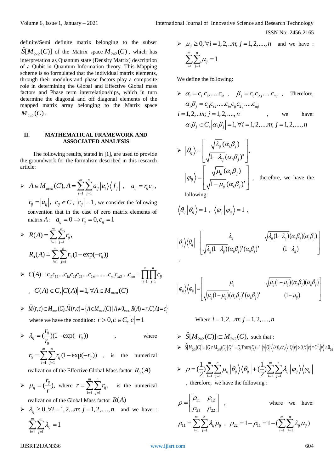definite/Semi definite matrix belonging to the subset  $S[M_{2\times2}(C)]$  of the Matrix space  $M_{2\times2}(C)$ , which has ˆinterpretation as Quantum state (Density Matrix) description of a Qubit in Quantum Information theory. This Mapping scheme is so formulated that the individual matrix elements, through their modulus and phase factors play a composite role in determining the Global and Effective Global mass factors and Phase term interrelationships, which in turn determine the diagonal and off diagonal elements of the mapped matrix array belonging to the Matrix space  $M_{2\times 2}(C)$  .

### **II. MATHEMATICAL FRAMEWORK AND ASSOCIATED ANALYSIS**

The following results, stated in [1], are used to provide the groundwork for the formalism described in this research article:

 $\blacktriangleright$ 1 1  $(C), A = \sum_{n=1}^{m} \sum_{n=1}^{n}$  $\mu_{\text{max}}(C)$ <sup>1, 1</sup>  $\sum \sum_{i} a_{ij} |c_i| \setminus J_j$ *i j*  $A \in M_{m \times n}(C), A = \sum_{i=1}^n \sum_{j=1}^n a_{ij} \left| e_i \right\rangle \left\langle f_j \right|, \quad a_{ij} = r_{ij} c_{ij},$  $r_{ij} = |a_{ij}|$ ,  $c_{ij} \in C$ ,  $|c_{ij}| = 1$ , we consider the following convention that in the case of zero matrix elements of matrix  $A: a_{ij} = 0 \implies r_{ij} = 0, c_{ij} = 1$ 

> 
$$
R(A) = \sum_{i=1}^{m} \sum_{j=1}^{n} r_{ij},
$$
  

$$
R_0(A) = \sum_{i=1}^{m} \sum_{j=1}^{n} r_{ij} (1 - \exp(-r_{ij}))
$$

$$
\triangleright C(A) = c_{11}c_{12}...c_{1n}c_{21}c_{22}...c_{2n}...c_{m1}c_{m2}...c_{mn} = \prod_{i=1}^{m} \prod_{j=1}^{n} c_{ij}
$$
  
, 
$$
C(A) \in C, |C(A)| = 1, \forall A \in M_{m \times n}(C)
$$

- *M (c, )* ∈ *C,*  $|C(A)| = 1$ ,  $\forall A \in M_{max}(C)$ <br>  $\geq \overline{M}(r,c) \subset M_{max}(C), \overline{M}(r,c) = \{A \in M_{max}(C) | A \neq 0_{max}, R(A) = r, C(A) = c\}$ where we have the condition:  $r > 0, c \in C, |c| = 1$
- $\lambda_{ij} = (\frac{ij}{i})(1 \exp(-r_{ij}))$ 0 *r r r*  $\lambda_{\cdot\cdot} = (\frac{y}{\cdot})(1 - \exp(-\frac{y}{\cdot}))$ where

0 1 1  $\sum_{i=1}^{m} \sum_{i=1}^{n} r_{ii} (1 - \exp(-r_{ii}))$  $ij$   $\leftarrow$   $\mathcal{L}$  $\leftarrow$   $\leftarrow$   $\leftarrow$   $\leftarrow$ *i j*  $r_0 = \sum \sum r_{ij} (1 - \exp(-r_{ij}))$ , is the numerical =1 /=

realization of the Effective Global Mass factor  $R_{\scriptstyle 0}(A)$ 

 $\blacktriangleright$   $\mu_{ij} = (\frac{ij}{n}),$ *r*  $\mu_{ij} = \left(\frac{y}{r}\right)$ , where 1 1 , *m n ij i*=1 *j*  $r = \sum \sum r_{ij}$ , is the numerical

realization of the Global Mass factor  $R(A)$ 

 $\lambda_{ij} \geq 0, \forall i = 1,2,...m; j = 1,2,...,n$  and we have :  $1 \quad i = 1$  $\sum_{n=1}^{m} \sum_{n=1}^{n} \lambda_{n}=1$  $\sum\sum\lambda^{}_{ij}=$ *i j* = 1 =

$$
\geq \mu_{ij} \geq 0, \forall i = 1, 2, \dots, n; j = 1, 2, \dots, n \text{ and we have :}
$$

$$
\sum_{i=1}^{m} \sum_{j=1}^{n} \mu_{ij} = 1
$$

We define the following:

$$
\sum \alpha_i = c_{i1}c_{i2}.....c_{in} , \quad \beta_j = c_{ij}c_{2j}.....c_{mj} , \quad \text{Therefore,}
$$
  
\n
$$
\alpha_i \beta_j = c_{i1}c_{i2}.....c_{in}c_{ij}c_{2j}.....c_{mj}
$$
  
\n $i = 1, 2, ..m; j = 1, 2, ...., n ,$  we have:  
\n
$$
\alpha_i \beta_j \in C, |\alpha_i \beta_j| = 1, \forall i = 1, 2, ...., m; j = 1, 2, ...., n
$$

$$
\triangleright |\theta_{ij}\rangle = \left[\frac{\sqrt{\lambda_{ij}}(\alpha_i \beta_j)}{\sqrt{1-\lambda_{ij}}(\alpha_i \beta_j)}\right],
$$
  
\n
$$
|\varphi_{ij}\rangle = \left[\frac{\sqrt{\mu_{ij}}(\alpha_i \beta_j)}{\sqrt{1-\mu_{ij}}(\alpha_i \beta_j)}\right], \text{ therefore, we have the following:}
$$

following:

$$
\left\langle \theta_{ij} \left| \theta_{ij} \right\rangle = 1 \right.,~ \left\langle \varphi_{ij} \left| \varphi_{ij} \right\rangle = 1 \right.,
$$

$$
\left|\theta_{ij}\right\rangle\!\left\langle\theta_{ij}\right| = \left[\begin{matrix} \lambda_{ij} & \sqrt{\lambda_{ij}(1-\lambda_{ij})(\alpha_i\beta_j)(\alpha_i\beta_j)} \\ \sqrt{\lambda_{ij}(1-\lambda_{ij})(\alpha_i\beta_j)} & (1-\lambda_{ij}) \end{matrix}\right]
$$

$$
\left|\varphi_{ij}\right\rangle\left\langle\varphi_{ij}\right|=\left[\begin{matrix}\mu_{ij} & \sqrt{\mu_{ij}(1-\mu_{ij})(\alpha_i\beta_j)(\alpha_i\beta_j)}\\ \sqrt{\mu_{ij}(1-\mu_{ij})(\alpha_i\beta_j)} & (1-\mu_{ij})\end{matrix}\right]
$$

Where  $i = 1, 2, \ldots m$ ;  $j = 1, 2, \ldots n$ 

 $\triangleright$   $S[M_{2\times 2}(C)] \subset M_{2\times 2}$  $\hat{S}[M_{2\times 2}(C)] \subset M_{2\times 2}(C)$ , such that :  $\sum_{i}$   $\sum_{i}$   $\sum_{i}$   $\sum_{i}$   $\sum_{i}$   $\sum_{i}$   $\sum_{i}$   $\sum_{i}$   $\sum_{i}$   $\sum_{i}$   $\sum_{i}$   $\sum_{i}$   $\sum_{i}$   $\sum_{i}$   $\sum_{i}$   $\sum_{i}$   $\sum_{i}$   $\sum_{i}$   $\sum_{i}$   $\sum_{i}$   $\sum_{i}$   $\sum_{i}$   $\sum_{i}$   $\sum_{i}$   $\sum_{i}$   $\sum_{i}$   $\sum_{i}$   $\sum_{i$  $\chi_2(\nu)$   $(\mathcal{L} - m_{22}(\nu))$   $\mathcal{L}$   $\mathcal{L}$ ,  $\mathcal{L}$ ,  $\mathcal{L}$ ,  $\mathcal{L}$ ,  $\mathcal{L}$ ,  $\mathcal{L}$ ,  $\mathcal{L}$ ,  $\mathcal{L}$ ,  $\mathcal{L}$ ,  $\mathcal{L}$ ,  $\mathcal{L}$ ,  $\mathcal{L}$ ,  $\mathcal{L}$ ,  $\mathcal{L}$ ,  $\mathcal{L}$ ,  $\mathcal{L}$ ,  $\mathcal{L}$ ,  $\mathcal{L}$ ,  $\mathcal$  $\hat{S}[M_{2\times 2}(C)] = \{Q \in M_{2\times 2}(C) | Q^H = Q, Trace(Q) = 1, \langle v | Q | v \rangle \ge 0, or, \langle v | Q | v \rangle > 0, \forall | v \rangle \in C^2, |v \rangle \ne 0_{2\times 1}$ 

$$
\triangleright \quad \rho = (\frac{1}{2}) \sum_{i=1}^{m} \sum_{j=1}^{n} \mu_{ij} \left| \theta_{ij} \right\rangle \left\langle \theta_{ij} \right| + (\frac{1}{2}) \sum_{i=1}^{m} \sum_{j=1}^{n} \lambda_{ij} \left| \varphi_{ij} \right\rangle \left\langle \varphi_{ij} \right|
$$
\n, therefore, we have the following :

$$
\rho = \begin{bmatrix} \rho_{11} & \rho_{12} \\ \rho_{21} & \rho_{22} \end{bmatrix} , \text{ where we have:}
$$
  

$$
\rho_{11} = \sum_{i=1}^{m} \sum_{j=1}^{n} \lambda_{ij} \mu_{ij} , \rho_{22} = 1 - \rho_{11} = 1 - (\sum_{i=1}^{m} \sum_{j=1}^{n} \lambda_{ij} \mu_{ij})
$$

IJISRT21JAN336 [www.ijisrt.com](http://www.ijisrt.com/) 604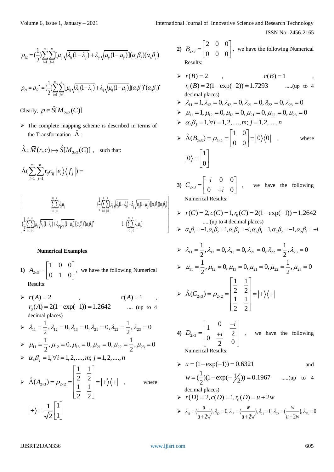ISSN No:-2456-2165

$$
\rho_{12} = \left(\frac{1}{2}\right) \sum_{i=1}^{m} \sum_{j=1}^{n} [\mu_{ij} \sqrt{\lambda_{ij} (1 - \lambda_{ij})} + \lambda_{ij} \sqrt{\mu_{ij} (1 - \mu_{ij})}] (\alpha_i \beta_j) (\alpha_i \beta_j)
$$

$$
\sum_{i=1}^{n} \sum_{j=1}^{n} [\mu_{ij} \sqrt{\lambda_{ij} (1 - \lambda_{ij})} + \lambda_{ij} \sqrt{\mu_{ij} (1 - \mu_{ij})} ] (\alpha_i \beta_j)^{\bullet} (\alpha_j \beta_j)^{\bullet}
$$

Clearly,  $\rho \in \hat{S}[M_{2\times 2}(C)]$ 

*m n*

 $\triangleright$  The complete mapping scheme is described in terms of the Transformation  $\hat{\Lambda}$ :

$$
\hat{\Lambda} : \overline{M}(r, c) \mapsto \hat{S}[M_{2 \times 2}(C)] , \text{ such that:}
$$

$$
\hat{\Lambda}(\sum_{i=1}^{m}\sum_{j=1}^{n}r_{ij}c_{ij}|e_{i}\rangle\langle f_{j}|) =
$$
\n
$$
\begin{bmatrix}\sum_{i=1}^{m}\sum_{j=1}^{n}\lambda_{ij}\mu_{ij} & \left(\frac{1}{2}\right)\sum_{i=1}^{m}\sum_{j=1}^{n}[\mu_{ij}\sqrt{\lambda_{ij}(1-\lambda_{ij})}+\lambda_{ij}\sqrt{\mu_{ij}(1-\mu_{ij})}](\alpha_{i}\beta_{j})(\alpha_{i}\beta_{j})\\ \left(\frac{1}{2}\right)\sum_{i=1}^{m}\sum_{j=1}^{n}[\mu_{ij}\sqrt{\lambda_{ij}(1-\lambda_{ij})}+\lambda_{ij}\sqrt{\mu_{ij}(1-\mu_{ij})}](\alpha_{i}\beta_{j})^{*} & 1-(\sum_{i=1}^{m}\sum_{j=1}^{n}\lambda_{ij}\mu_{ij})\end{bmatrix} \times r(\alpha_{i}\beta_{i})
$$
\n
$$
\times \alpha_{i}\beta_{i}
$$

## **Numerical Examples**

- 1)  $A_{2\times 3}$ 1 0 0  $A_{2\times3} = \begin{vmatrix} 0 & 1 & 0 \end{vmatrix}$  $=\begin{bmatrix} 1 & 0 & 0 \\ 0 & 1 & 0 \end{bmatrix}$ , we have the following Numerical Results:
- $\triangleright$   $r(A) = 2$  $r(A) = 2$  ,  $c(A) = 1$ ,  $r_0(A) = 2(1 - \exp(-1)) = 1.2642$  .... (up to 4) decimal places)  $\lambda_1 = \frac{1}{2}, \lambda_{12} = 0, \lambda_{13} = 0, \lambda_{21} = 0, \lambda_{22} = \frac{1}{2}, \lambda_{23}$  $\frac{1}{2}$ ,  $\lambda_{12} = 0$ ,  $\lambda_{13} = 0$ ,  $\lambda_{21} = 0$ ,  $\lambda_{22} = \frac{1}{2}$ ,  $\lambda_{23} = 0$  $\lambda_{1} = \frac{1}{2}$ ,  $\lambda_{2} = 0$ ,  $\lambda_{3} = 0$ ,  $\lambda_{21} = 0$ ,  $\lambda_{32} = \frac{1}{2}$ ,  $\lambda_{33} = 0$  $\mu_{11} = \frac{1}{2}, \mu_{12} = 0, \mu_{13} = 0, \mu_{21} = 0, \mu_{22} = \frac{1}{2}, \mu_{23}$  $\mu_{11} = \frac{1}{2}, \mu_{12} = 0, \mu_{13} = 0, \mu_{21} = 0, \mu_{22} = \frac{1}{2}, \mu_{23} = 0$  $\triangleright$   $\alpha_i \beta_j = 1, \forall i = 1,2,...,m; j = 1,2,...,n$  $\triangleright$   $\Lambda(A_{2\times 3}) = \rho_{2\times 2}$ 1 1  $\hat{\Lambda}(A_{2\times 3}) = \rho_{2\times 2} = \begin{vmatrix} 2 & 2 \\ 1 & 1 \end{vmatrix}$ 2 2  $\begin{bmatrix} 1 & 1 \end{bmatrix}$  $\left| \frac{1}{2} \right|$   $\frac{1}{2}$  $\hat{\Lambda}(A_{2\times3}) = \rho_{2\times2} = \begin{pmatrix} 2 & 2 \\ 1 & 1 \end{pmatrix} = |+\rangle \langle +$  $\begin{bmatrix} 1 & 1 \end{bmatrix}$  $\begin{bmatrix} 2 & 2 \end{bmatrix}$ where 1 1 2 1  $\lceil 1 \rceil$  $\ket{+} = \frac{1}{\sqrt{2}} \left\lfloor \frac{1}{2} \right\rfloor$
- 2)  $B_{2\times 3}$ 200  $B_{2\times3} = \begin{vmatrix} 0 & 0 & 0 \end{vmatrix}$  $=\begin{bmatrix} 2 & 0 & 0 \\ 0 & 0 & 0 \end{bmatrix}$ , we have the following Numerical Results:
- $\triangleright$   $r(B) = 2$  $c(B) = 1$  $r_0(B) = 2(1 - \exp(-2)) = 1.7293$  .....(up to 4 decimal places)  $\triangleright$   $\lambda_{11} = 1, \lambda_{12} = 0, \lambda_{13} = 0, \lambda_{21} = 0, \lambda_{22} = 0, \lambda_{23} = 0$  $\triangleright$   $\mu_{11} = 1, \mu_{12} = 0, \mu_{13} = 0, \mu_{21} = 0, \mu_{22} = 0, \mu_{23} = 0$  $\alpha_i \beta_j = 1, \forall i = 1,2,...,m; j = 1,2,...,n$  $\triangleright$   $\Lambda(B_{2\times 3}) = \rho_{2\times 2}$  $\hat{\Lambda}(B_{2\times3}) = \rho_{2\times2} = \begin{vmatrix} 1 & 0 \\ 0 & 0 \end{vmatrix} = |0\rangle\langle 0$  $\hat{\Lambda}(B_{2\times 3}) = \rho_{2\times 2} = \begin{bmatrix} 1 & 0 \\ 0 & 0 \end{bmatrix} =$ where 1 0 0  $=\begin{bmatrix}1\\0\end{bmatrix}$
- **3**)  $C_{2\times 3}$ 0 0  $0$  + $i$   $0$ *i C*  $\begin{array}{ccc} 1 & 0 & +i \end{array}$  $=\begin{bmatrix} -i & 0 & 0 \\ 0 & +i & 0 \end{bmatrix}$ , we have the following Numerical Results:
- $r(C) = 2$ ,  $c(C) = 1$ ,  $r_0(C) = 2(1 \exp(-1)) = 1.2642$ .....(up to 4 decimal places)

$$
\triangleright \alpha_1 \beta_1 = -1, \alpha_1 \beta_2 = 1, \alpha_1 \beta_3 = -i, \alpha_2 \beta_1 = 1, \alpha_2 \beta_2 = -1, \alpha_2 \beta_3 = +i
$$

$$
\triangleright \quad \lambda_{11} = \frac{1}{2}, \lambda_{12} = 0, \lambda_{13} = 0, \lambda_{21} = 0, \lambda_{22} = \frac{1}{2}, \lambda_{23} = 0
$$
\n
$$
\triangleright \quad \mu_{11} = \frac{1}{2}, \mu_{12} = 0, \mu_{13} = 0, \mu_{21} = 0, \mu_{22} = \frac{1}{2}, \mu_{23} = 0
$$
\n
$$
\triangleright \quad \hat{\Lambda}(C_{2 \times 3}) = \rho_{2 \times 2} = \begin{bmatrix} \frac{1}{2} & \frac{1}{2} \\ \frac{1}{2} & \frac{1}{2} \end{bmatrix} = |+\rangle \langle +|
$$

4)  $D_{2\times 3}$ 0 1 2  $0 \frac{1}{2} 0$ *i*  $D_{2\times 3} = \begin{vmatrix} 1 & i \end{vmatrix}$  $\begin{bmatrix} 1 & 0 & -i \end{bmatrix}$  $=\begin{bmatrix} 1 & \frac{1}{2} \\ 0 & \frac{1}{2} & 0 \end{bmatrix}$ , we have the following Numerical Results:

$$
\triangleright u = (1 - \exp(-1)) = 0.6321
$$
 and  

$$
w = (\frac{1}{2})(1 - \exp(-\frac{1}{2})) = 0.1967
$$
 .....(up to 4  
decimal places)

> 
$$
r(D) = 2, c(D) = 1, r_0(D) = u + 2w
$$
  
\n>  $\lambda_1 = \frac{u}{u + 2w}, \lambda_{12} = 0, \lambda_{13} = \frac{w}{u + 2w}, \lambda_{21} = 0, \lambda_{22} = \frac{w}{u + 2w}, \lambda_{23} = 0$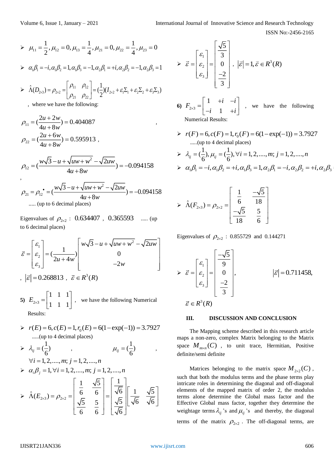$$
\triangleright \mu_{11} = \frac{1}{2}, \mu_{12} = 0, \mu_{13} = \frac{1}{4}, \mu_{21} = 0, \mu_{22} = \frac{1}{4}, \mu_{23} = 0
$$

$$
\triangleright \alpha_1 \beta_1 = -i, \alpha_1 \beta_2 = 1, \alpha_1 \beta_3 = -1, \alpha_2 \beta_1 = +i, \alpha_2 \beta_2 = -1, \alpha_2 \beta_3 = 1
$$

$$
\triangleright \hat{\Lambda}(D_{2\times 3}) = \rho_{2\times 2} = \begin{bmatrix} \rho_{11} & \rho_{12} \\ \rho_{21} & \rho_{22} \end{bmatrix} = (\frac{1}{2})(I_{2\times 2} + \varepsilon_1 \Sigma_1 + \varepsilon_2 \Sigma_2 + \varepsilon_3 \Sigma_3)
$$

, where we have the following:

$$
\rho_{11} = \left(\frac{2u + 2w}{4u + 8w}\right) = 0.404087
$$
\n
$$
\rho_{22} = \left(\frac{2u + 6w}{4u + 8w}\right) = 0.595913
$$

,

$$
4u + 8w
$$
  

$$
\rho_{12} = \left(\frac{w\sqrt{3} - u + \sqrt{uw + w^2} - \sqrt{2uw}}{4u + 8w}\right) = -0.094158
$$

$$
4u + 8w
$$
  
\n
$$
\rho_{21} = \rho_{12}^{\bullet} = \left(\frac{w\sqrt{3} - u + \sqrt{uw + w^2} - \sqrt{2uw}}{4u + 8w}\right) = -0.094158
$$
  
\n...... (up to 6 decimal places)

Eigenvalues of  $\rho_{2\times2}$ : 0.634407, 0.365593 ..... (up to 6 decimal places)

to 6 decimal places)  
\n
$$
\vec{\varepsilon} = \begin{bmatrix} \varepsilon_1 \\ \varepsilon_2 \\ \varepsilon_3 \end{bmatrix} = \left(\frac{1}{2u + 4w}\right) \begin{bmatrix} w\sqrt{3} - u + \sqrt{uw + w^2} - \sqrt{2uw} \\ 0 \\ -2w \end{bmatrix}
$$
\n
$$
|\vec{\varepsilon}| = 0.268813 \ , \ \vec{\varepsilon} \in R^3(R)
$$

5) 
$$
E_{2\times 3} = \begin{bmatrix} 1 & 1 & 1 \\ 1 & 1 & 1 \end{bmatrix}
$$
, we have the following Numerical Results:

 $r(E) = 6, c(E) = 1, r_0(E) = 6(1 - \exp(-1)) = 3.7927$ .....(up to 4 decimal places)

> 
$$
\lambda_{ij} = (\frac{1}{6})
$$
 ,  $\mu_{ij} = (\frac{1}{6})$  ,  
\n $\forall i = 1, 2, ..., m; j = 1, 2, ..., n$   
\n>  $\alpha_i \beta_j = 1, \forall i = 1, 2, ..., m; j = 1, 2, ..., n$   
\n>  $\hat{\Lambda}(E_{2 \times 3}) = \rho_{2 \times 2} = \begin{bmatrix} \frac{1}{6} & \frac{\sqrt{5}}{6} \\ \frac{\sqrt{5}}{6} & \frac{5}{6} \end{bmatrix} = \begin{bmatrix} \frac{1}{\sqrt{6}} \\ \frac{\sqrt{5}}{\sqrt{6}} \\ \frac{\sqrt{5}}{\sqrt{6}} \end{bmatrix} \begin{bmatrix} \frac{1}{\sqrt{6}} & \frac{\sqrt{5}}{\sqrt{6}} \end{bmatrix}$ 

$$
\triangleright \vec{\varepsilon} = \begin{bmatrix} \varepsilon_1 \\ \varepsilon_2 \\ \varepsilon_3 \end{bmatrix} = \begin{bmatrix} \frac{\sqrt{5}}{3} \\ 0 \\ \frac{-2}{3} \end{bmatrix}, \ |\vec{\varepsilon}| = 1, \vec{\varepsilon} \in R^3(R)
$$

6) 
$$
F_{2\times 3} = \begin{bmatrix} 1 & +i & -i \\ -i & 1 & +i \end{bmatrix}
$$
, we have the following  
Numerical Results:

Numerical Results:

,

 $r(F) = 6, c(F) = 1, r_0(F) = 6(1 - \exp(-1)) = 3.7927$ .....(up to 4 decimal places)

$$
\frac{}{\lambda_{ij}} = (\frac{1}{6}), \mu_{ij} = (\frac{1}{6}), \forall i = 1, 2, \dots, m; j = 1, 2, \dots, n
$$
  

$$
\frac{}{\lambda_{ij}} = -i, \alpha_1 \beta_2 = +i, \alpha_1 \beta_3 = 1, \alpha_2 \beta_1 = -i, \alpha_2 \beta_2 = +i, \alpha_2 \beta_3
$$

$$
\triangleright \hat{\Lambda}(F_{2\times 3}) = \rho_{2\times 2} = \begin{bmatrix} \frac{1}{6} & \frac{-\sqrt{5}}{18} \\ -\sqrt{5} & \frac{5}{18} \end{bmatrix}
$$

Eigenvalues of  $\rho_{2\times2}$  : 0.855729 and 0.144271

$$
\triangleright \vec{\varepsilon} = \begin{bmatrix} \varepsilon_1 \\ \varepsilon_2 \\ \varepsilon_3 \end{bmatrix} = \begin{bmatrix} -\sqrt{5} \\ 9 \\ 0 \\ -2 \\ 3 \end{bmatrix}, \qquad |\vec{\varepsilon}| = 0.711458,
$$
  

$$
\vec{\varepsilon} \in R^3(R)
$$

## **III. DISCUSSION AND CONCLUSION**

The Mapping scheme described in this research article maps a non-zero, complex Matrix belonging to the Matrix space  $M_{m \times n}(C)$ , to unit trace, Hermitian, Positive definite/semi definite

Matrices belonging to the matrix space  $M_{2\times2}(C)$ , such that both the modulus terms and the phase terms play intricate roles in determining the diagonal and off-diagonal elements of the mapped matrix of order 2, the modulus terms alone determine the Global mass factor and the Effective Global mass factor, together they determine the weightage terms  $\lambda_{ij}$  's and  $\mu_{ij}$ 's and thereby, the diagonal terms of the matrix  $\rho_{2\times 2}$ . The off-diagonal terms, are